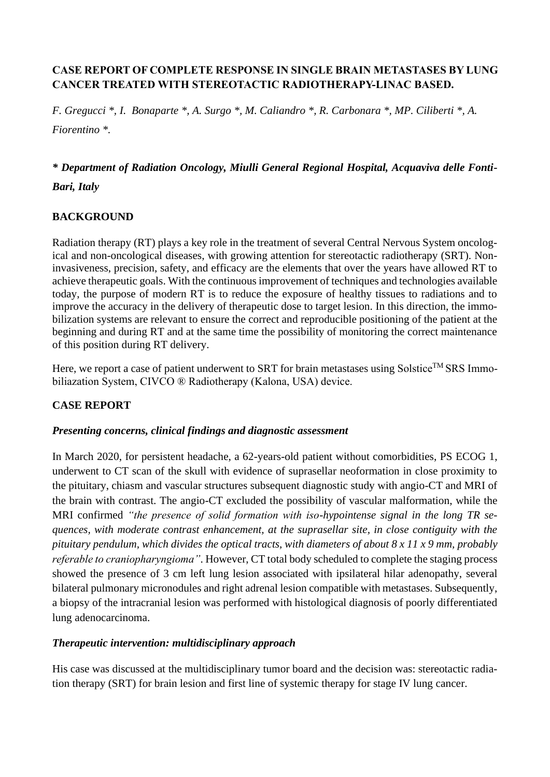# **CASE REPORT OF COMPLETE RESPONSE IN SINGLE BRAIN METASTASES BY LUNG CANCER TREATED WITH STEREOTACTIC RADIOTHERAPY-LINAC BASED.**

*F. Gregucci \*, I. Bonaparte \*, A. Surgo \*, M. Caliandro \*, R. Carbonara \*, MP. Ciliberti \*, A. Fiorentino \*.*

# *\* Department of Radiation Oncology, Miulli General Regional Hospital, Acquaviva delle Fonti-Bari, Italy*

## **BACKGROUND**

Radiation therapy (RT) plays a key role in the treatment of several Central Nervous System oncological and non-oncological diseases, with growing attention for stereotactic radiotherapy (SRT). Noninvasiveness, precision, safety, and efficacy are the elements that over the years have allowed RT to achieve therapeutic goals. With the continuous improvement of techniques and technologies available today, the purpose of modern RT is to reduce the exposure of healthy tissues to radiations and to improve the accuracy in the delivery of therapeutic dose to target lesion. In this direction, the immobilization systems are relevant to ensure the correct and reproducible positioning of the patient at the beginning and during RT and at the same time the possibility of monitoring the correct maintenance of this position during RT delivery.

Here, we report a case of patient underwent to SRT for brain metastases using Solstice<sup>TM</sup> SRS Immobiliazation System, CIVCO ® Radiotherapy (Kalona, USA) device.

#### **CASE REPORT**

#### *Presenting concerns, clinical findings and diagnostic assessment*

In March 2020, for persistent headache, a 62-years-old patient without comorbidities, PS ECOG 1, underwent to CT scan of the skull with evidence of suprasellar neoformation in close proximity to the pituitary, chiasm and vascular structures subsequent diagnostic study with angio-CT and MRI of the brain with contrast. The angio-CT excluded the possibility of vascular malformation, while the MRI confirmed *"the presence of solid formation with iso-hypointense signal in the long TR sequences, with moderate contrast enhancement, at the suprasellar site, in close contiguity with the pituitary pendulum, which divides the optical tracts, with diameters of about 8 x 11 x 9 mm, probably referable to craniopharyngioma"*. However, CT total body scheduled to complete the staging process showed the presence of 3 cm left lung lesion associated with ipsilateral hilar adenopathy, several bilateral pulmonary micronodules and right adrenal lesion compatible with metastases. Subsequently, a biopsy of the intracranial lesion was performed with histological diagnosis of poorly differentiated lung adenocarcinoma.

#### *Therapeutic intervention: multidisciplinary approach*

His case was discussed at the multidisciplinary tumor board and the decision was: stereotactic radiation therapy (SRT) for brain lesion and first line of systemic therapy for stage IV lung cancer.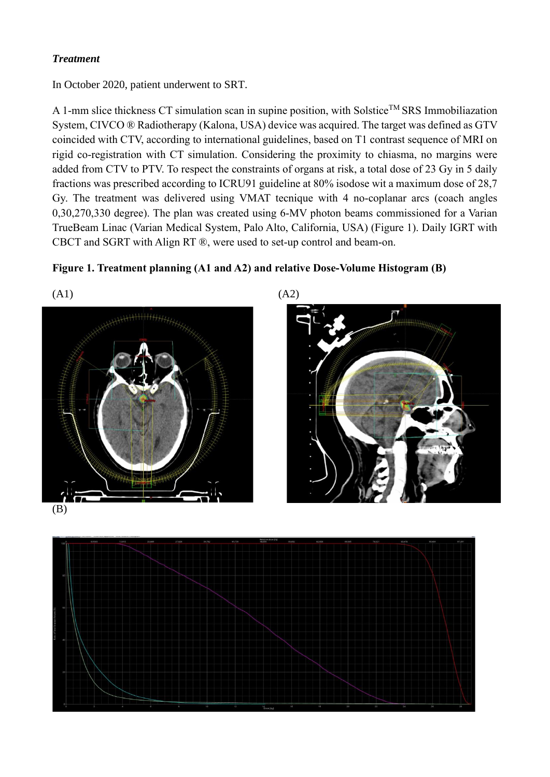# *Treatment*

In October 2020, patient underwent to SRT.

A 1-mm slice thickness CT simulation scan in supine position, with Solstice<sup>TM</sup> SRS Immobiliazation System, CIVCO ® Radiotherapy (Kalona, USA) device was acquired. The target was defined as GTV coincided with CTV, according to international guidelines, based on T1 contrast sequence of MRI on rigid co-registration with CT simulation. Considering the proximity to chiasma, no margins were added from CTV to PTV. To respect the constraints of organs at risk, a total dose of 23 Gy in 5 daily fractions was prescribed according to ICRU91 guideline at 80% isodose wit a maximum dose of 28,7 Gy. The treatment was delivered using VMAT tecnique with 4 no-coplanar arcs (coach angles 0,30,270,330 degree). The plan was created using 6-MV photon beams commissioned for a Varian TrueBeam Linac (Varian Medical System, Palo Alto, California, USA) (Figure 1). Daily IGRT with CBCT and SGRT with Align RT ®, were used to set-up control and beam-on.







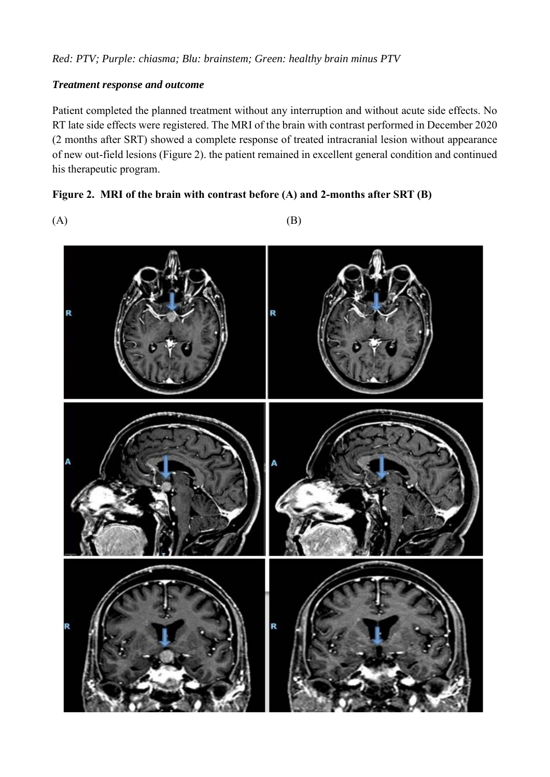## *Treatment response and outcome*

Patient completed the planned treatment without any interruption and without acute side effects. No RT late side effects were registered. The MRI of the brain with contrast performed in December 2020 (2 months after SRT) showed a complete response of treated intracranial lesion without appearance of new out-field lesions (Figure 2). the patient remained in excellent general condition and continued his therapeutic program.

## **Figure 2. MRI of the brain with contrast before (A) and 2-months after SRT (B)**

 $(A)$  (B)